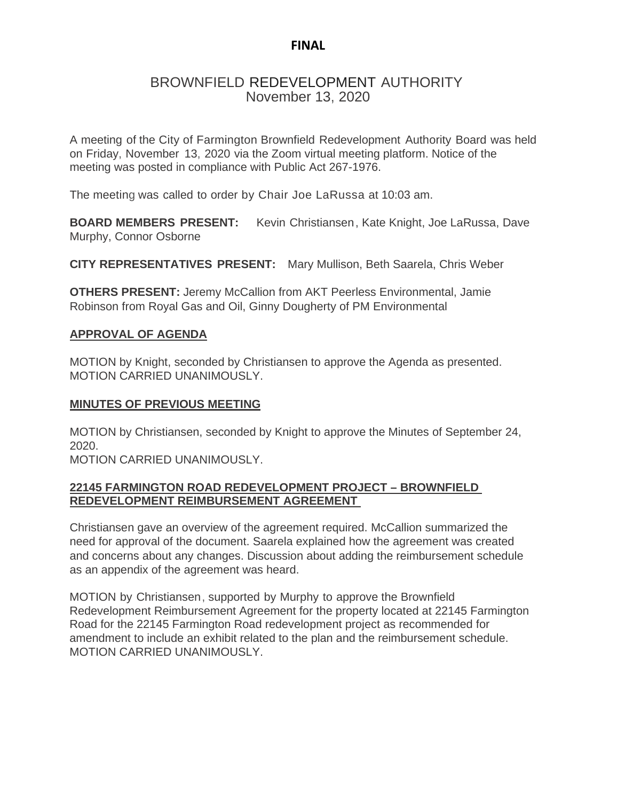## **FINAL**

# BROWNFIELD REDEVELOPMENT AUTHORITY November 13, 2020

A meeting of the City of Farmington Brownfield Redevelopment Authority Board was held on Friday, November 13, 2020 via the Zoom virtual meeting platform. Notice of the meeting was posted in compliance with Public Act 267-1976.

The meeting was called to order by Chair Joe LaRussa at 10:03 am.

**BOARD MEMBERS PRESENT:** Kevin Christiansen, Kate Knight, Joe LaRussa, Dave Murphy, Connor Osborne

**CITY REPRESENTATIVES PRESENT:** Mary Mullison, Beth Saarela, Chris Weber

**OTHERS PRESENT:** Jeremy McCallion from AKT Peerless Environmental, Jamie Robinson from Royal Gas and Oil, Ginny Dougherty of PM Environmental

#### **APPROVAL OF AGENDA**

MOTION by Knight, seconded by Christiansen to approve the Agenda as presented. MOTION CARRIED UNANIMOUSLY.

#### **MINUTES OF PREVIOUS MEETING**

MOTION by Christiansen, seconded by Knight to approve the Minutes of September 24, 2020.

MOTION CARRIED UNANIMOUSLY.

### **22145 FARMINGTON ROAD REDEVELOPMENT PROJECT – BROWNFIELD REDEVELOPMENT REIMBURSEMENT AGREEMENT**

Christiansen gave an overview of the agreement required. McCallion summarized the need for approval of the document. Saarela explained how the agreement was created and concerns about any changes. Discussion about adding the reimbursement schedule as an appendix of the agreement was heard.

MOTION by Christiansen, supported by Murphy to approve the Brownfield Redevelopment Reimbursement Agreement for the property located at 22145 Farmington Road for the 22145 Farmington Road redevelopment project as recommended for amendment to include an exhibit related to the plan and the reimbursement schedule. MOTION CARRIED UNANIMOUSLY.